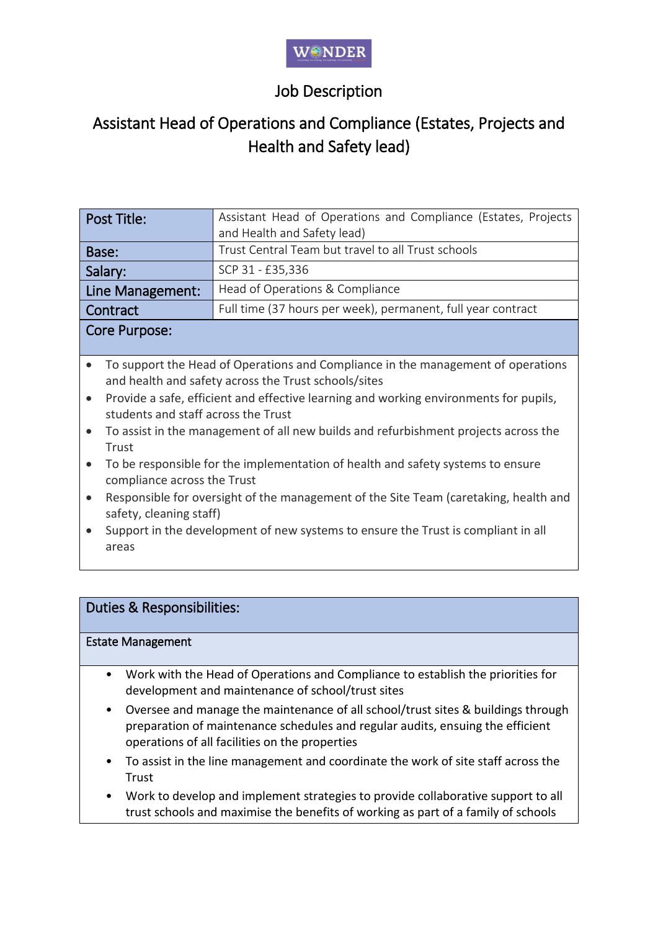# Job Description

# Assistant Head of Operations and Compliance (Estates, Projects and Health and Safety lead)

| Post Title:      | Assistant Head of Operations and Compliance (Estates, Projects |
|------------------|----------------------------------------------------------------|
|                  | and Health and Safety lead)                                    |
| Base:            | Trust Central Team but travel to all Trust schools             |
| Salary:          | SCP 31 - £35,336                                               |
| Line Management: | Head of Operations & Compliance                                |
| Contract         | Full time (37 hours per week), permanent, full year contract   |
| Core Purpose:    |                                                                |

- To support the Head of Operations and Compliance in the management of operations and health and safety across the Trust schools/sites
- Provide a safe, efficient and effective learning and working environments for pupils, students and staff across the Trust
- To assist in the management of all new builds and refurbishment projects across the Trust
- To be responsible for the implementation of health and safety systems to ensure compliance across the Trust
- Responsible for oversight of the management of the Site Team (caretaking, health and safety, cleaning staff)
- Support in the development of new systems to ensure the Trust is compliant in all areas

### Duties & Responsibilities:

#### Estate Management

- Work with the Head of Operations and Compliance to establish the priorities for development and maintenance of school/trust sites
- Oversee and manage the maintenance of all school/trust sites & buildings through preparation of maintenance schedules and regular audits, ensuing the efficient operations of all facilities on the properties
- To assist in the line management and coordinate the work of site staff across the Trust
- Work to develop and implement strategies to provide collaborative support to all trust schools and maximise the benefits of working as part of a family of schools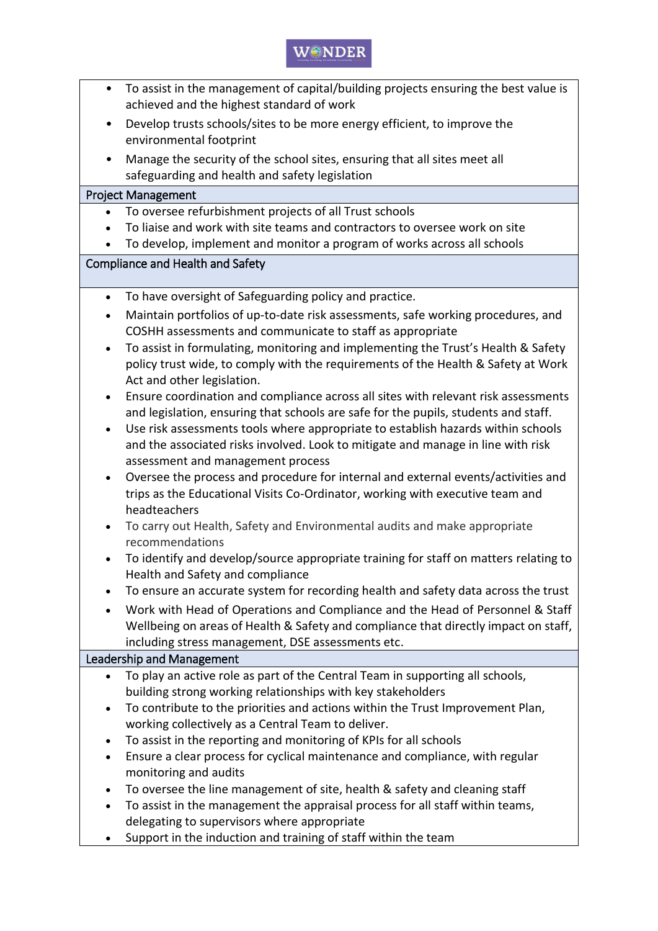## $W@{\sf NDEF}$

- To assist in the management of capital/building projects ensuring the best value is achieved and the highest standard of work
- Develop trusts schools/sites to be more energy efficient, to improve the environmental footprint
- Manage the security of the school sites, ensuring that all sites meet all safeguarding and health and safety legislation

#### Project Management

- To oversee refurbishment projects of all Trust schools
- To liaise and work with site teams and contractors to oversee work on site
- To develop, implement and monitor a program of works across all schools

#### Compliance and Health and Safety

- To have oversight of Safeguarding policy and practice.
- Maintain portfolios of up-to-date risk assessments, safe working procedures, and COSHH assessments and communicate to staff as appropriate
- To assist in formulating, monitoring and implementing the Trust's Health & Safety policy trust wide, to comply with the requirements of the Health & Safety at Work Act and other legislation.
- Ensure coordination and compliance across all sites with relevant risk assessments and legislation, ensuring that schools are safe for the pupils, students and staff.
- Use risk assessments tools where appropriate to establish hazards within schools and the associated risks involved. Look to mitigate and manage in line with risk assessment and management process
- Oversee the process and procedure for internal and external events/activities and trips as the Educational Visits Co-Ordinator, working with executive team and headteachers
- To carry out Health, Safety and Environmental audits and make appropriate recommendations
- To identify and develop/source appropriate training for staff on matters relating to Health and Safety and compliance
- To ensure an accurate system for recording health and safety data across the trust
- Work with Head of Operations and Compliance and the Head of Personnel & Staff Wellbeing on areas of Health & Safety and compliance that directly impact on staff, including stress management, DSE assessments etc.

#### Leadership and Management

- To play an active role as part of the Central Team in supporting all schools, building strong working relationships with key stakeholders
- To contribute to the priorities and actions within the Trust Improvement Plan, working collectively as a Central Team to deliver.
- To assist in the reporting and monitoring of KPIs for all schools
- Ensure a clear process for cyclical maintenance and compliance, with regular monitoring and audits
- To oversee the line management of site, health & safety and cleaning staff
- To assist in the management the appraisal process for all staff within teams, delegating to supervisors where appropriate
- Support in the induction and training of staff within the team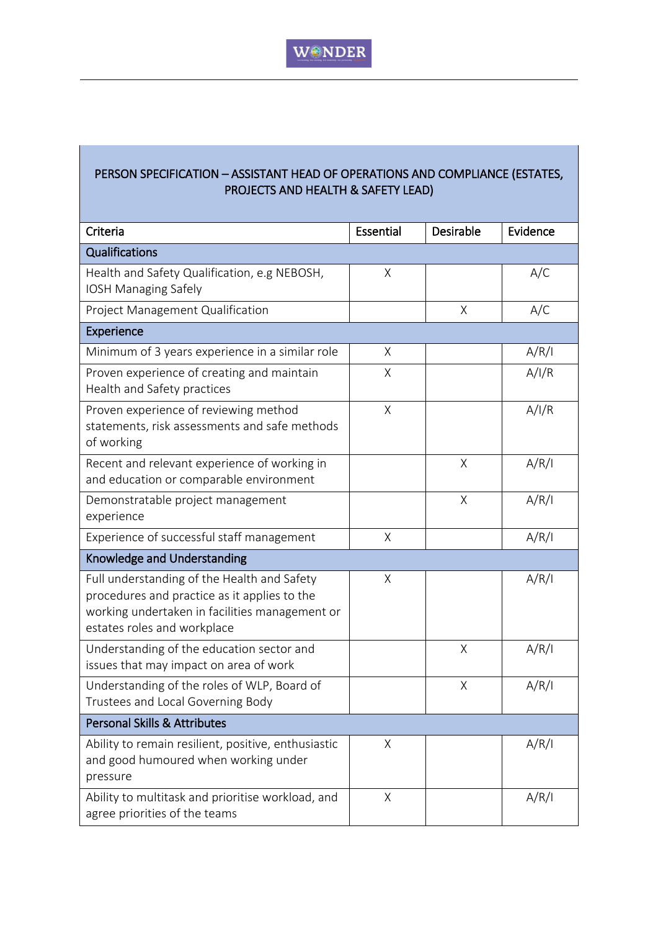## PERSON SPECIFICATION – ASSISTANT HEAD OF OPERATIONS AND COMPLIANCE (ESTATES, PROJECTS AND HEALTH & SAFETY LEAD)

| Criteria                                                                                                                                                                     | Essential | Desirable | Evidence |  |  |
|------------------------------------------------------------------------------------------------------------------------------------------------------------------------------|-----------|-----------|----------|--|--|
| Qualifications                                                                                                                                                               |           |           |          |  |  |
| Health and Safety Qualification, e.g NEBOSH,<br><b>IOSH Managing Safely</b>                                                                                                  | $\chi$    |           | A/C      |  |  |
| Project Management Qualification                                                                                                                                             |           | Χ         | A/C      |  |  |
| <b>Experience</b>                                                                                                                                                            |           |           |          |  |  |
| Minimum of 3 years experience in a similar role                                                                                                                              | X         |           | A/R/I    |  |  |
| Proven experience of creating and maintain<br>Health and Safety practices                                                                                                    | Χ         |           | A/I/R    |  |  |
| Proven experience of reviewing method<br>statements, risk assessments and safe methods<br>of working                                                                         | X         |           | A/I/R    |  |  |
| Recent and relevant experience of working in<br>and education or comparable environment                                                                                      |           | Χ         | A/R/I    |  |  |
| Demonstratable project management<br>experience                                                                                                                              |           | X         | A/R/I    |  |  |
| Experience of successful staff management                                                                                                                                    | Χ         |           | A/R/I    |  |  |
| Knowledge and Understanding                                                                                                                                                  |           |           |          |  |  |
| Full understanding of the Health and Safety<br>procedures and practice as it applies to the<br>working undertaken in facilities management or<br>estates roles and workplace | Χ         |           | A/R/I    |  |  |
| Understanding of the education sector and<br>issues that may impact on area of work                                                                                          |           | X         | A/R/I    |  |  |
| Understanding of the roles of WLP, Board of<br>Trustees and Local Governing Body                                                                                             |           | X         | A/R/I    |  |  |
| <b>Personal Skills &amp; Attributes</b>                                                                                                                                      |           |           |          |  |  |
| Ability to remain resilient, positive, enthusiastic<br>and good humoured when working under<br>pressure                                                                      | X         |           | A/R/I    |  |  |
| Ability to multitask and prioritise workload, and<br>agree priorities of the teams                                                                                           | Χ         |           | A/R/I    |  |  |